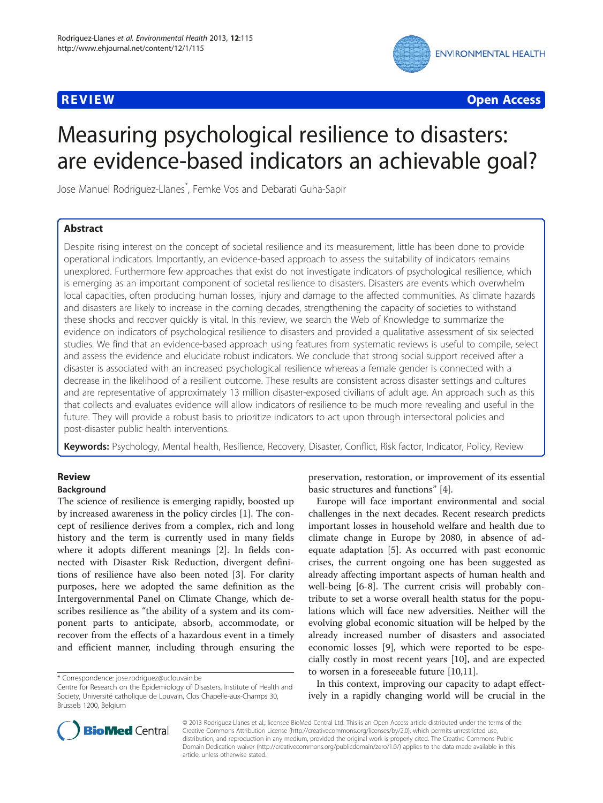

**REVIEW CONSTRUCTION CONSTRUCTION CONSTRUCTS** 

# Measuring psychological resilience to disasters: are evidence-based indicators an achievable goal?

Jose Manuel Rodriguez-Llanes\* , Femke Vos and Debarati Guha-Sapir

# Abstract

Despite rising interest on the concept of societal resilience and its measurement, little has been done to provide operational indicators. Importantly, an evidence-based approach to assess the suitability of indicators remains unexplored. Furthermore few approaches that exist do not investigate indicators of psychological resilience, which is emerging as an important component of societal resilience to disasters. Disasters are events which overwhelm local capacities, often producing human losses, injury and damage to the affected communities. As climate hazards and disasters are likely to increase in the coming decades, strengthening the capacity of societies to withstand these shocks and recover quickly is vital. In this review, we search the Web of Knowledge to summarize the evidence on indicators of psychological resilience to disasters and provided a qualitative assessment of six selected studies. We find that an evidence-based approach using features from systematic reviews is useful to compile, select and assess the evidence and elucidate robust indicators. We conclude that strong social support received after a disaster is associated with an increased psychological resilience whereas a female gender is connected with a decrease in the likelihood of a resilient outcome. These results are consistent across disaster settings and cultures and are representative of approximately 13 million disaster-exposed civilians of adult age. An approach such as this that collects and evaluates evidence will allow indicators of resilience to be much more revealing and useful in the future. They will provide a robust basis to prioritize indicators to act upon through intersectoral policies and post-disaster public health interventions.

Keywords: Psychology, Mental health, Resilience, Recovery, Disaster, Conflict, Risk factor, Indicator, Policy, Review

# Review

# Background

The science of resilience is emerging rapidly, boosted up by increased awareness in the policy circles [[1\]](#page-9-0). The concept of resilience derives from a complex, rich and long history and the term is currently used in many fields where it adopts different meanings [\[2](#page-9-0)]. In fields connected with Disaster Risk Reduction, divergent definitions of resilience have also been noted [[3\]](#page-9-0). For clarity purposes, here we adopted the same definition as the Intergovernmental Panel on Climate Change, which describes resilience as "the ability of a system and its component parts to anticipate, absorb, accommodate, or recover from the effects of a hazardous event in a timely and efficient manner, including through ensuring the

preservation, restoration, or improvement of its essential basic structures and functions" [\[4](#page-9-0)].

Europe will face important environmental and social challenges in the next decades. Recent research predicts important losses in household welfare and health due to climate change in Europe by 2080, in absence of adequate adaptation [\[5](#page-9-0)]. As occurred with past economic crises, the current ongoing one has been suggested as already affecting important aspects of human health and well-being [[6-8](#page-9-0)]. The current crisis will probably contribute to set a worse overall health status for the populations which will face new adversities. Neither will the evolving global economic situation will be helped by the already increased number of disasters and associated economic losses [[9\]](#page-9-0), which were reported to be especially costly in most recent years [[10\]](#page-9-0), and are expected to worsen in a foreseeable future [\[10,11](#page-9-0)].

In this context, improving our capacity to adapt effectively in a rapidly changing world will be crucial in the



© 2013 Rodriguez-Llanes et al.; licensee BioMed Central Ltd. This is an Open Access article distributed under the terms of the Creative Commons Attribution License (<http://creativecommons.org/licenses/by/2.0>), which permits unrestricted use, distribution, and reproduction in any medium, provided the original work is properly cited. The Creative Commons Public Domain Dedication waiver [\(http://creativecommons.org/publicdomain/zero/1.0/\)](http://creativecommons.org/publicdomain/zero/1.0/) applies to the data made available in this article, unless otherwise stated.

<sup>\*</sup> Correspondence: [jose.rodriguez@uclouvain.be](mailto:jose.rodriguez@uclouvain.be)

Centre for Research on the Epidemiology of Disasters, Institute of Health and Society, Université catholique de Louvain, Clos Chapelle-aux-Champs 30, Brussels 1200, Belgium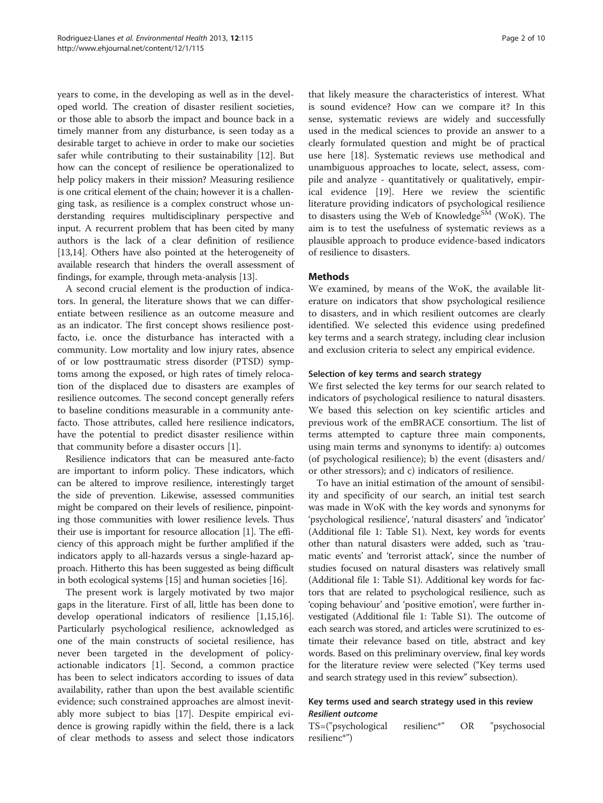years to come, in the developing as well as in the developed world. The creation of disaster resilient societies, or those able to absorb the impact and bounce back in a timely manner from any disturbance, is seen today as a desirable target to achieve in order to make our societies safer while contributing to their sustainability [[12\]](#page-9-0). But how can the concept of resilience be operationalized to help policy makers in their mission? Measuring resilience is one critical element of the chain; however it is a challenging task, as resilience is a complex construct whose understanding requires multidisciplinary perspective and input. A recurrent problem that has been cited by many authors is the lack of a clear definition of resilience [[13,14](#page-9-0)]. Others have also pointed at the heterogeneity of available research that hinders the overall assessment of findings, for example, through meta-analysis [\[13\]](#page-9-0).

A second crucial element is the production of indicators. In general, the literature shows that we can differentiate between resilience as an outcome measure and as an indicator. The first concept shows resilience postfacto, i.e. once the disturbance has interacted with a community. Low mortality and low injury rates, absence of or low posttraumatic stress disorder (PTSD) symptoms among the exposed, or high rates of timely relocation of the displaced due to disasters are examples of resilience outcomes. The second concept generally refers to baseline conditions measurable in a community antefacto. Those attributes, called here resilience indicators, have the potential to predict disaster resilience within that community before a disaster occurs [\[1\]](#page-9-0).

Resilience indicators that can be measured ante-facto are important to inform policy. These indicators, which can be altered to improve resilience, interestingly target the side of prevention. Likewise, assessed communities might be compared on their levels of resilience, pinpointing those communities with lower resilience levels. Thus their use is important for resource allocation [[1\]](#page-9-0). The efficiency of this approach might be further amplified if the indicators apply to all-hazards versus a single-hazard approach. Hitherto this has been suggested as being difficult in both ecological systems [[15](#page-9-0)] and human societies [\[16\]](#page-9-0).

The present work is largely motivated by two major gaps in the literature. First of all, little has been done to develop operational indicators of resilience [\[1,15,16](#page-9-0)]. Particularly psychological resilience, acknowledged as one of the main constructs of societal resilience, has never been targeted in the development of policyactionable indicators [[1\]](#page-9-0). Second, a common practice has been to select indicators according to issues of data availability, rather than upon the best available scientific evidence; such constrained approaches are almost inevitably more subject to bias [\[17](#page-9-0)]. Despite empirical evidence is growing rapidly within the field, there is a lack of clear methods to assess and select those indicators

that likely measure the characteristics of interest. What is sound evidence? How can we compare it? In this sense, systematic reviews are widely and successfully used in the medical sciences to provide an answer to a clearly formulated question and might be of practical use here [[18](#page-9-0)]. Systematic reviews use methodical and unambiguous approaches to locate, select, assess, compile and analyze - quantitatively or qualitatively, empirical evidence [\[19\]](#page-9-0). Here we review the scientific literature providing indicators of psychological resilience to disasters using the Web of Knowledge<sup>SM</sup> (WoK). The aim is to test the usefulness of systematic reviews as a plausible approach to produce evidence-based indicators of resilience to disasters.

# **Methods**

We examined, by means of the WoK, the available literature on indicators that show psychological resilience to disasters, and in which resilient outcomes are clearly identified. We selected this evidence using predefined key terms and a search strategy, including clear inclusion and exclusion criteria to select any empirical evidence.

# Selection of key terms and search strategy

We first selected the key terms for our search related to indicators of psychological resilience to natural disasters. We based this selection on key scientific articles and previous work of the emBRACE consortium. The list of terms attempted to capture three main components, using main terms and synonyms to identify: a) outcomes (of psychological resilience); b) the event (disasters and/ or other stressors); and c) indicators of resilience.

To have an initial estimation of the amount of sensibility and specificity of our search, an initial test search was made in WoK with the key words and synonyms for 'psychological resilience', 'natural disasters' and 'indicator' (Additional file [1](#page-8-0): Table S1). Next, key words for events other than natural disasters were added, such as 'traumatic events' and 'terrorist attack', since the number of studies focused on natural disasters was relatively small (Additional file [1:](#page-8-0) Table S1). Additional key words for factors that are related to psychological resilience, such as 'coping behaviour' and 'positive emotion', were further investigated (Additional file [1](#page-8-0): Table S1). The outcome of each search was stored, and articles were scrutinized to estimate their relevance based on title, abstract and key words. Based on this preliminary overview, final key words for the literature review were selected ("Key terms used and search strategy used in this review" subsection).

# Key terms used and search strategy used in this review Resilient outcome

TS=("psychological resilienc\*" OR "psychosocial resilienc\*")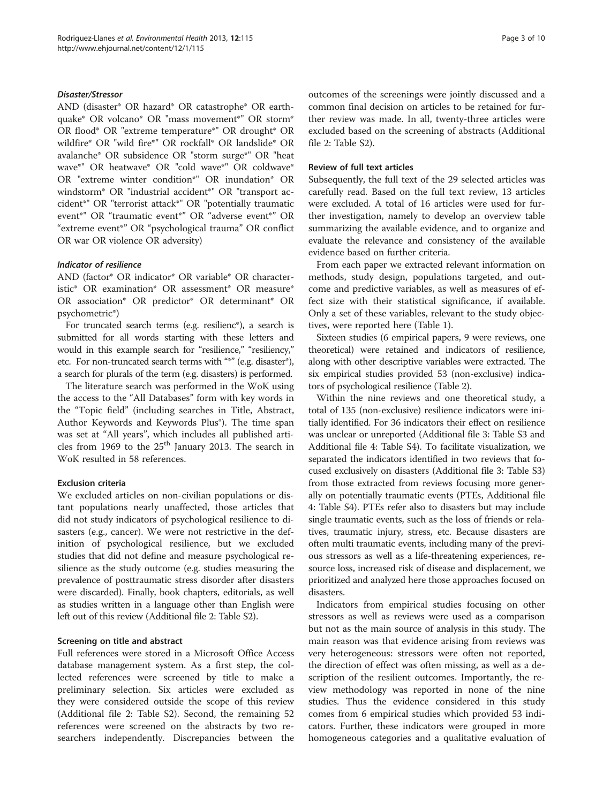### Disaster/Stressor

AND (disaster\* OR hazard\* OR catastrophe\* OR earthquake\* OR volcano\* OR "mass movement\*" OR storm\* OR flood\* OR "extreme temperature\*" OR drought\* OR wildfire\* OR "wild fire\*" OR rockfall\* OR landslide\* OR avalanche\* OR subsidence OR "storm surge\*" OR "heat wave\*" OR heatwave\* OR "cold wave\*" OR coldwave\* OR "extreme winter condition\*" OR inundation\* OR windstorm\* OR "industrial accident\*" OR "transport accident\*" OR "terrorist attack\*" OR "potentially traumatic event\*" OR "traumatic event\*" OR "adverse event\*" OR "extreme event\*" OR "psychological trauma" OR conflict OR war OR violence OR adversity)

#### Indicator of resilience

AND (factor\* OR indicator\* OR variable\* OR characteristic\* OR examination\* OR assessment\* OR measure\* OR association\* OR predictor\* OR determinant\* OR psychometric\*)

For truncated search terms (e.g. resilienc\*), a search is submitted for all words starting with these letters and would in this example search for "resilience," "resiliency," etc. For non-truncated search terms with "\*" (e.g. disaster\*), a search for plurals of the term (e.g. disasters) is performed.

The literature search was performed in the WoK using the access to the "All Databases" form with key words in the "Topic field" (including searches in Title, Abstract, Author Keywords and Keywords Plus®). The time span was set at "All years", which includes all published articles from 1969 to the  $25<sup>th</sup>$  January 2013. The search in WoK resulted in 58 references.

# Exclusion criteria

We excluded articles on non-civilian populations or distant populations nearly unaffected, those articles that did not study indicators of psychological resilience to disasters (e.g., cancer). We were not restrictive in the definition of psychological resilience, but we excluded studies that did not define and measure psychological resilience as the study outcome (e.g. studies measuring the prevalence of posttraumatic stress disorder after disasters were discarded). Finally, book chapters, editorials, as well as studies written in a language other than English were left out of this review (Additional file [2](#page-8-0): Table S2).

#### Screening on title and abstract

Full references were stored in a Microsoft Office Access database management system. As a first step, the collected references were screened by title to make a preliminary selection. Six articles were excluded as they were considered outside the scope of this review (Additional file [2](#page-8-0): Table S2). Second, the remaining 52 references were screened on the abstracts by two researchers independently. Discrepancies between the outcomes of the screenings were jointly discussed and a common final decision on articles to be retained for further review was made. In all, twenty-three articles were excluded based on the screening of abstracts (Additional file [2:](#page-8-0) Table S2).

#### Review of full text articles

Subsequently, the full text of the 29 selected articles was carefully read. Based on the full text review, 13 articles were excluded. A total of 16 articles were used for further investigation, namely to develop an overview table summarizing the available evidence, and to organize and evaluate the relevance and consistency of the available evidence based on further criteria.

From each paper we extracted relevant information on methods, study design, populations targeted, and outcome and predictive variables, as well as measures of effect size with their statistical significance, if available. Only a set of these variables, relevant to the study objectives, were reported here (Table [1](#page-3-0)).

Sixteen studies (6 empirical papers, 9 were reviews, one theoretical) were retained and indicators of resilience, along with other descriptive variables were extracted. The six empirical studies provided 53 (non-exclusive) indicators of psychological resilience (Table [2\)](#page-4-0).

Within the nine reviews and one theoretical study, a total of 135 (non-exclusive) resilience indicators were initially identified. For 36 indicators their effect on resilience was unclear or unreported (Additional file [3:](#page-8-0) Table S3 and Additional file [4:](#page-8-0) Table S4). To facilitate visualization, we separated the indicators identified in two reviews that focused exclusively on disasters (Additional file [3:](#page-8-0) Table S3) from those extracted from reviews focusing more generally on potentially traumatic events (PTEs, Additional file [4:](#page-8-0) Table S4). PTEs refer also to disasters but may include single traumatic events, such as the loss of friends or relatives, traumatic injury, stress, etc. Because disasters are often multi traumatic events, including many of the previous stressors as well as a life-threatening experiences, resource loss, increased risk of disease and displacement, we prioritized and analyzed here those approaches focused on disasters.

Indicators from empirical studies focusing on other stressors as well as reviews were used as a comparison but not as the main source of analysis in this study. The main reason was that evidence arising from reviews was very heterogeneous: stressors were often not reported, the direction of effect was often missing, as well as a description of the resilient outcomes. Importantly, the review methodology was reported in none of the nine studies. Thus the evidence considered in this study comes from 6 empirical studies which provided 53 indicators. Further, these indicators were grouped in more homogeneous categories and a qualitative evaluation of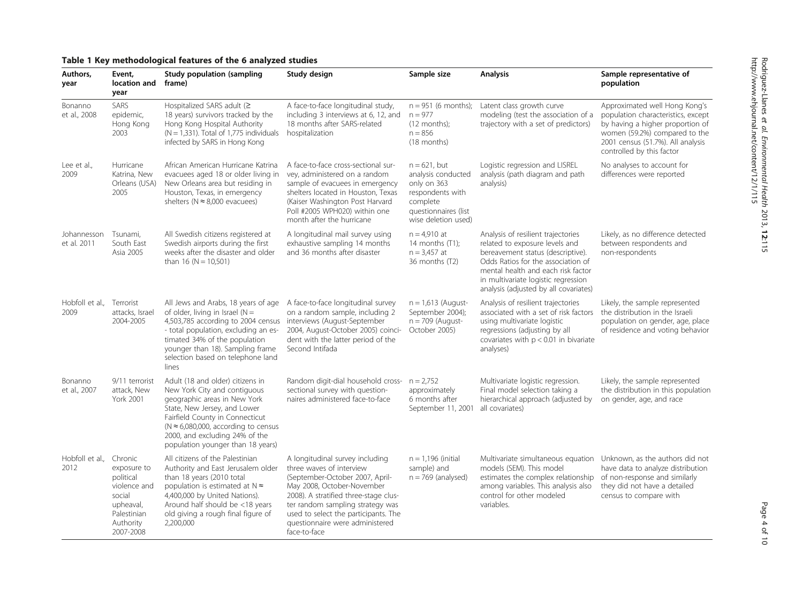| Authors,<br>year           | Event,<br>location and<br>year                                                                                      | <b>Study population (sampling</b><br>frame)                                                                                                                                                                                                                                                             | Study design                                                                                                                                                                                                                                                                                         | Sample size                                                                                                                         | <b>Analysis</b>                                                                                                                                                                                                                                                       | Sample representative of<br>population                                                                                                                                                                     |
|----------------------------|---------------------------------------------------------------------------------------------------------------------|---------------------------------------------------------------------------------------------------------------------------------------------------------------------------------------------------------------------------------------------------------------------------------------------------------|------------------------------------------------------------------------------------------------------------------------------------------------------------------------------------------------------------------------------------------------------------------------------------------------------|-------------------------------------------------------------------------------------------------------------------------------------|-----------------------------------------------------------------------------------------------------------------------------------------------------------------------------------------------------------------------------------------------------------------------|------------------------------------------------------------------------------------------------------------------------------------------------------------------------------------------------------------|
| Bonanno<br>et al., 2008    | <b>SARS</b><br>epidemic,<br>Hong Kong<br>2003                                                                       | Hospitalized SARS adult ( $\geq$<br>18 years) survivors tracked by the<br>Hong Kong Hospital Authority<br>$(N = 1,331)$ . Total of 1,775 individuals<br>infected by SARS in Hong Kong                                                                                                                   | A face-to-face longitudinal study,<br>including 3 interviews at 6, 12, and<br>18 months after SARS-related<br>hospitalization                                                                                                                                                                        | $n = 951$ (6 months);<br>$n = 977$<br>$(12$ months);<br>$n = 856$<br>(18 months)                                                    | Latent class growth curve<br>modeling (test the association of a<br>trajectory with a set of predictors)                                                                                                                                                              | Approximated well Hong Kong's<br>population characteristics, except<br>by having a higher proportion of<br>women (59.2%) compared to the<br>2001 census (51.7%). All analysis<br>controlled by this factor |
| Lee et al.,<br>2009        | Hurricane<br>Katrina, New<br>Orleans (USA)<br>2005                                                                  | African American Hurricane Katrina<br>evacuees aged 18 or older living in<br>New Orleans area but residing in<br>Houston, Texas, in emergency<br>shelters ( $N \approx 8,000$ evacuees)                                                                                                                 | A face-to-face cross-sectional sur-<br>vey, administered on a random<br>sample of evacuees in emergency<br>shelters located in Houston, Texas<br>(Kaiser Washington Post Harvard<br>Poll #2005 WPH020) within one<br>month after the hurricane                                                       | $n = 621$ , but<br>analysis conducted<br>only on 363<br>respondents with<br>complete<br>questionnaires (list<br>wise deletion used) | Logistic regression and LISREL<br>analysis (path diagram and path<br>analysis)                                                                                                                                                                                        | No analyses to account for<br>differences were reported                                                                                                                                                    |
| Johannesson<br>et al. 2011 | Tsunami,<br>South East<br>Asia 2005                                                                                 | All Swedish citizens registered at<br>Swedish airports during the first<br>weeks after the disaster and older<br>than 16 ( $N = 10,501$ )                                                                                                                                                               | A longitudinal mail survey using<br>exhaustive sampling 14 months<br>and 36 months after disaster                                                                                                                                                                                                    | $n = 4.910$ at<br>14 months (T1);<br>$n = 3,457$ at<br>36 months (T2)                                                               | Analysis of resilient trajectories<br>related to exposure levels and<br>bereavement status (descriptive).<br>Odds Ratios for the association of<br>mental health and each risk factor<br>in multivariate logistic regression<br>analysis (adjusted by all covariates) | Likely, as no difference detected<br>between respondents and<br>non-respondents                                                                                                                            |
| Hobfoll et al.,<br>2009    | Terrorist<br>attacks, Israel<br>2004-2005                                                                           | All Jews and Arabs, 18 years of age<br>of older, living in Israel ( $N =$<br>4,503,785 according to 2004 census interviews (August-September<br>- total population, excluding an es-<br>timated 34% of the population<br>younger than 18). Sampling frame<br>selection based on telephone land<br>lines | A face-to-face longitudinal survey<br>on a random sample, including 2<br>2004, August-October 2005) coinci-<br>dent with the latter period of the<br>Second Intifada                                                                                                                                 | $n = 1,613$ (August-<br>September 2004);<br>$n = 709$ (August-<br>October 2005)                                                     | Analysis of resilient trajectories<br>associated with a set of risk factors<br>using multivariate logistic<br>regressions (adjusting by all<br>covariates with $p < 0.01$ in bivariate<br>analyses)                                                                   | Likely, the sample represented<br>the distribution in the Israeli<br>population on gender, age, place<br>of residence and voting behavior                                                                  |
| Bonanno<br>et al., 2007    | 9/11 terrorist<br>attack, New<br><b>York 2001</b>                                                                   | Adult (18 and older) citizens in<br>New York City and contiguous<br>geographic areas in New York<br>State, New Jersey, and Lower<br>Fairfield County in Connecticut<br>( $N \approx 6,080,000$ , according to census<br>2000, and excluding 24% of the<br>population younger than 18 years)             | Random digit-dial household cross- $n = 2,752$<br>sectional survey with question-<br>naires administered face-to-face                                                                                                                                                                                | approximately<br>6 months after<br>September 11, 2001                                                                               | Multivariate logistic regression.<br>Final model selection taking a<br>hierarchical approach (adjusted by<br>all covariates)                                                                                                                                          | Likely, the sample represented<br>the distribution in this population<br>on gender, age, and race                                                                                                          |
| Hobfoll et al.,<br>2012    | Chronic<br>exposure to<br>political<br>violence and<br>social<br>upheaval,<br>Palestinian<br>Authority<br>2007-2008 | All citizens of the Palestinian<br>Authority and East Jerusalem older<br>than 18 years (2010 total<br>population is estimated at $N \approx$<br>4,400,000 by United Nations).<br>Around half should be <18 years<br>old giving a rough final figure of<br>2,200,000                                     | A longitudinal survey including<br>three waves of interview<br>(September-October 2007, April-<br>May 2008, October-November<br>2008). A stratified three-stage clus-<br>ter random sampling strategy was<br>used to select the participants. The<br>questionnaire were administered<br>face-to-face | $n = 1.196$ (initial<br>sample) and<br>$n = 769$ (analysed)                                                                         | Multivariate simultaneous equation<br>models (SEM). This model<br>estimates the complex relationship<br>among variables. This analysis also<br>control for other modeled<br>variables.                                                                                | Unknown, as the authors did not<br>have data to analyze distribution<br>of non-response and similarly<br>they did not have a detailed<br>census to compare with                                            |

# <span id="page-3-0"></span>Table 1 Key methodological features of the 6 analyzed studies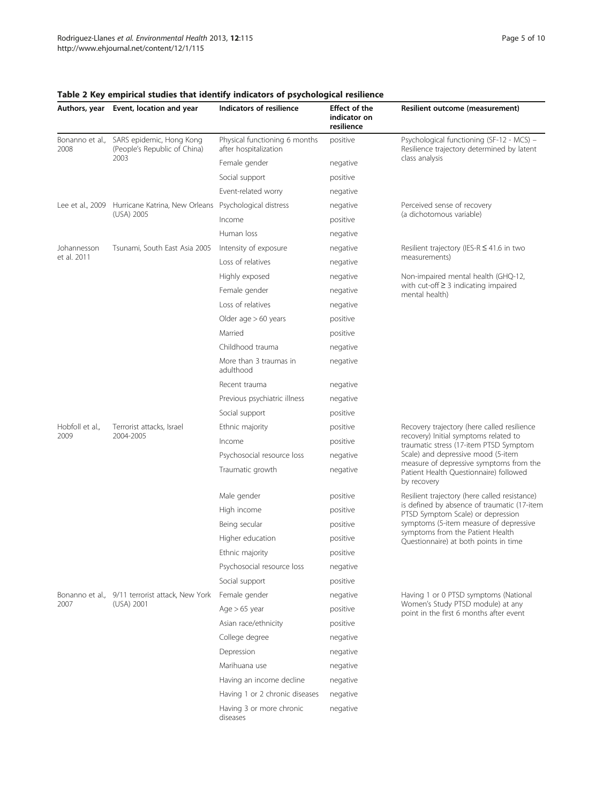|                         | Authors, year Event, location and year                                               | Indicators of resilience                               | Effect of the<br>indicator on<br>resilience | Resilient outcome (measurement)                                                                  |  |
|-------------------------|--------------------------------------------------------------------------------------|--------------------------------------------------------|---------------------------------------------|--------------------------------------------------------------------------------------------------|--|
| Bonanno et al.,<br>2008 | SARS epidemic, Hong Kong<br>(People's Republic of China)<br>2003                     | Physical functioning 6 months<br>after hospitalization | positive                                    | Psychological functioning (SF-12 - MCS) -<br>Resilience trajectory determined by latent          |  |
|                         |                                                                                      | Female gender                                          | negative                                    | class analysis                                                                                   |  |
|                         |                                                                                      | Social support                                         | positive                                    |                                                                                                  |  |
|                         |                                                                                      | Event-related worry                                    | negative                                    |                                                                                                  |  |
|                         | Lee et al., 2009 Hurricane Katrina, New Orleans Psychological distress<br>(USA) 2005 |                                                        | negative                                    | Perceived sense of recovery                                                                      |  |
|                         |                                                                                      | Income                                                 | positive                                    | (a dichotomous variable)                                                                         |  |
|                         |                                                                                      | Human loss                                             | negative                                    |                                                                                                  |  |
| Johannesson             | Tsunami, South East Asia 2005                                                        | Intensity of exposure                                  | negative                                    | Resilient trajectory (IES-R $\leq$ 41.6 in two                                                   |  |
| et al. 2011             |                                                                                      | Loss of relatives                                      | negative                                    | measurements)                                                                                    |  |
|                         |                                                                                      | Highly exposed                                         | negative                                    | Non-impaired mental health (GHQ-12,                                                              |  |
|                         |                                                                                      | Female gender                                          | negative                                    | with cut-off $\geq$ 3 indicating impaired<br>mental health)                                      |  |
|                         |                                                                                      | Loss of relatives                                      | negative                                    |                                                                                                  |  |
|                         |                                                                                      | Older age $>60$ years                                  | positive                                    |                                                                                                  |  |
|                         |                                                                                      | Married                                                | positive                                    |                                                                                                  |  |
|                         |                                                                                      | Childhood trauma                                       | negative                                    |                                                                                                  |  |
|                         |                                                                                      | More than 3 traumas in<br>adulthood                    | negative                                    |                                                                                                  |  |
|                         |                                                                                      | Recent trauma                                          | negative                                    |                                                                                                  |  |
|                         |                                                                                      | Previous psychiatric illness                           | negative                                    |                                                                                                  |  |
|                         |                                                                                      | Social support                                         | positive                                    |                                                                                                  |  |
| Hobfoll et al.,         | Terrorist attacks, Israel                                                            | Ethnic majority                                        | positive                                    | Recovery trajectory (here called resilience                                                      |  |
| 2009                    | 2004-2005                                                                            | Income                                                 | positive                                    | recovery) Initial symptoms related to<br>traumatic stress (17-item PTSD Symptom                  |  |
|                         |                                                                                      | Psychosocial resource loss                             | negative                                    | Scale) and depressive mood (5-item                                                               |  |
|                         |                                                                                      | Traumatic growth                                       | negative                                    | measure of depressive symptoms from the<br>Patient Health Questionnaire) followed<br>by recovery |  |
|                         |                                                                                      | Male gender                                            | positive                                    | Resilient trajectory (here called resistance)                                                    |  |
|                         |                                                                                      | High income                                            | positive                                    | is defined by absence of traumatic (17-item<br>PTSD Symptom Scale) or depression                 |  |
|                         |                                                                                      | Being secular                                          | positive                                    | symptoms (5-item measure of depressive                                                           |  |
|                         |                                                                                      | Higher education                                       | positive                                    | symptoms from the Patient Health<br>Questionnaire) at both points in time                        |  |
|                         |                                                                                      | Ethnic majority                                        | positive                                    |                                                                                                  |  |
|                         |                                                                                      | Psychosocial resource loss                             | negative                                    |                                                                                                  |  |
|                         |                                                                                      | Social support                                         | positive                                    |                                                                                                  |  |
|                         | Bonanno et al., 9/11 terrorist attack, New York<br>(USA) 2001                        | Female gender                                          | negative                                    | Having 1 or 0 PTSD symptoms (National                                                            |  |
| 2007                    |                                                                                      | Age $> 65$ year                                        | positive                                    | Women's Study PTSD module) at any<br>point in the first 6 months after event                     |  |
|                         |                                                                                      | Asian race/ethnicity                                   | positive                                    |                                                                                                  |  |
|                         |                                                                                      | College degree                                         | negative                                    |                                                                                                  |  |
|                         |                                                                                      | Depression                                             | negative                                    |                                                                                                  |  |
|                         |                                                                                      | Marihuana use                                          | negative                                    |                                                                                                  |  |
|                         |                                                                                      | Having an income decline                               | negative                                    |                                                                                                  |  |
|                         |                                                                                      | Having 1 or 2 chronic diseases                         | negative                                    |                                                                                                  |  |
|                         |                                                                                      | Having 3 or more chronic<br>diseases                   | negative                                    |                                                                                                  |  |

# <span id="page-4-0"></span>Table 2 Key empirical studies that identify indicators of psychological resilience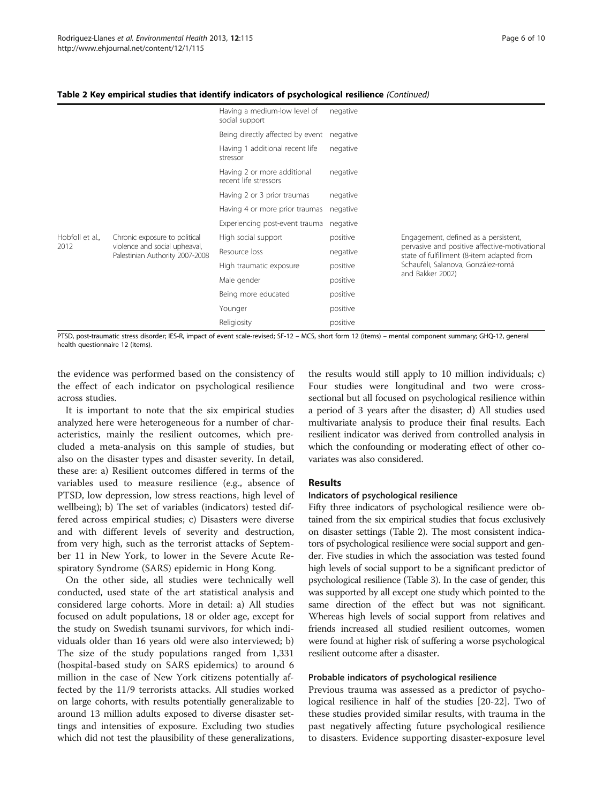#### Table 2 Key empirical studies that identify indicators of psychological resilience (Continued)

|                 |                                                                  | Having a medium-low level of<br>social support       | negative |                                                                                            |
|-----------------|------------------------------------------------------------------|------------------------------------------------------|----------|--------------------------------------------------------------------------------------------|
|                 |                                                                  | Being directly affected by event                     | negative |                                                                                            |
|                 |                                                                  | Having 1 additional recent life<br>stressor          | negative |                                                                                            |
|                 |                                                                  | Having 2 or more additional<br>recent life stressors | negative |                                                                                            |
|                 |                                                                  | Having 2 or 3 prior traumas                          | negative |                                                                                            |
|                 |                                                                  | Having 4 or more prior traumas                       | negative |                                                                                            |
|                 |                                                                  | Experiencing post-event trauma                       | negative |                                                                                            |
| Hobfoll et al., | Chronic exposure to political                                    | High social support                                  | positive | Engagement, defined as a persistent,                                                       |
| 2012            | violence and social upheaval,<br>Palestinian Authority 2007-2008 | Resource loss                                        | negative | pervasive and positive affective-motivational<br>state of fulfillment (8-item adapted from |
|                 |                                                                  | High traumatic exposure                              | positive | Schaufeli, Salanova, González-romá<br>and Bakker 2002)                                     |
|                 |                                                                  | Male gender                                          | positive |                                                                                            |
|                 |                                                                  | Being more educated                                  | positive |                                                                                            |
|                 |                                                                  | Younger                                              | positive |                                                                                            |
|                 |                                                                  | Religiosity                                          | positive |                                                                                            |

PTSD, post-traumatic stress disorder; IES-R, impact of event scale-revised; SF-12 – MCS, short form 12 (items) – mental component summary; GHQ-12, general health questionnaire 12 (items).

the evidence was performed based on the consistency of the effect of each indicator on psychological resilience across studies.

It is important to note that the six empirical studies analyzed here were heterogeneous for a number of characteristics, mainly the resilient outcomes, which precluded a meta-analysis on this sample of studies, but also on the disaster types and disaster severity. In detail, these are: a) Resilient outcomes differed in terms of the variables used to measure resilience (e.g., absence of PTSD, low depression, low stress reactions, high level of wellbeing); b) The set of variables (indicators) tested differed across empirical studies; c) Disasters were diverse and with different levels of severity and destruction, from very high, such as the terrorist attacks of September 11 in New York, to lower in the Severe Acute Respiratory Syndrome (SARS) epidemic in Hong Kong.

On the other side, all studies were technically well conducted, used state of the art statistical analysis and considered large cohorts. More in detail: a) All studies focused on adult populations, 18 or older age, except for the study on Swedish tsunami survivors, for which individuals older than 16 years old were also interviewed; b) The size of the study populations ranged from 1,331 (hospital-based study on SARS epidemics) to around 6 million in the case of New York citizens potentially affected by the 11/9 terrorists attacks. All studies worked on large cohorts, with results potentially generalizable to around 13 million adults exposed to diverse disaster settings and intensities of exposure. Excluding two studies which did not test the plausibility of these generalizations,

the results would still apply to 10 million individuals; c) Four studies were longitudinal and two were crosssectional but all focused on psychological resilience within a period of 3 years after the disaster; d) All studies used multivariate analysis to produce their final results. Each resilient indicator was derived from controlled analysis in which the confounding or moderating effect of other covariates was also considered.

# Results

### Indicators of psychological resilience

Fifty three indicators of psychological resilience were obtained from the six empirical studies that focus exclusively on disaster settings (Table [2\)](#page-4-0). The most consistent indicators of psychological resilience were social support and gender. Five studies in which the association was tested found high levels of social support to be a significant predictor of psychological resilience (Table [3](#page-6-0)). In the case of gender, this was supported by all except one study which pointed to the same direction of the effect but was not significant. Whereas high levels of social support from relatives and friends increased all studied resilient outcomes, women were found at higher risk of suffering a worse psychological resilient outcome after a disaster.

# Probable indicators of psychological resilience

Previous trauma was assessed as a predictor of psychological resilience in half of the studies [[20-22](#page-9-0)]. Two of these studies provided similar results, with trauma in the past negatively affecting future psychological resilience to disasters. Evidence supporting disaster-exposure level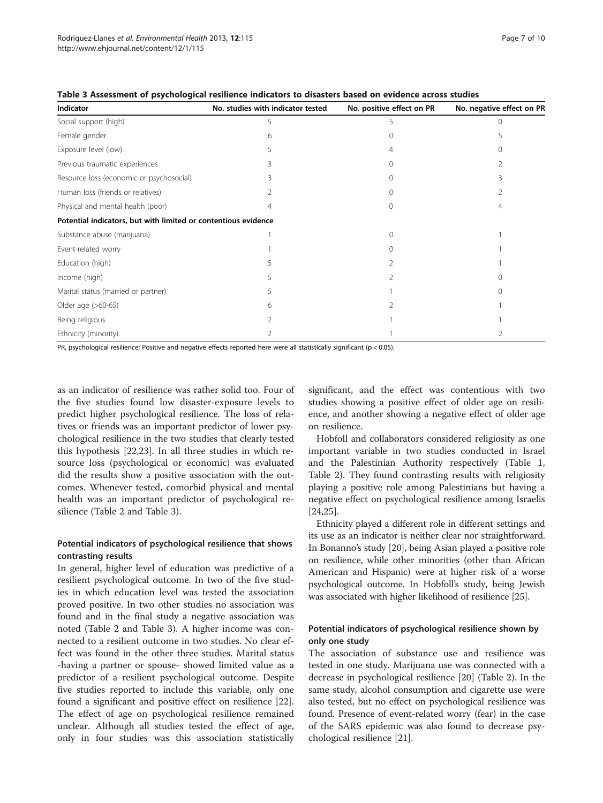| Indicator                                                      | No. studies with indicator tested | No. positive effect on PR | No. negative effect on PR |
|----------------------------------------------------------------|-----------------------------------|---------------------------|---------------------------|
| Social support (high)                                          |                                   | 5                         |                           |
| Female gender                                                  | 6                                 | $\Omega$                  |                           |
| Exposure level (low)                                           |                                   | 4                         |                           |
| Previous traumatic experiences                                 |                                   | $\Omega$                  | 2                         |
| Resource loss (economic or psychosocial)                       |                                   | 0                         |                           |
| Human loss (friends or relatives)                              |                                   | 0                         |                           |
| Physical and mental health (poor)                              |                                   | 0                         | 4                         |
| Potential indicators, but with limited or contentious evidence |                                   |                           |                           |
| Substance abuse (marijuana)                                    |                                   | $\Omega$                  |                           |
| Event-related worry                                            |                                   | 0                         |                           |
| Education (high)                                               |                                   |                           |                           |
| Income (high)                                                  |                                   | 2                         |                           |
| Marital status (married or partner)                            |                                   |                           |                           |
| Older age (>60-65)                                             | 6                                 |                           |                           |
| Being religious                                                |                                   |                           |                           |
| Ethnicity (minority)                                           |                                   |                           |                           |

<span id="page-6-0"></span>Table 3 Assessment of psychological resilience indicators to disasters based on evidence across studies

PR, psychological resilience; Positive and negative effects reported here were all statistically significant (p < 0.05).

as an indicator of resilience was rather solid too. Four of the five studies found low disaster-exposure levels to predict higher psychological resilience. The loss of relatives or friends was an important predictor of lower psychological resilience in the two studies that clearly tested this hypothesis [\[22,23](#page-9-0)]. In all three studies in which resource loss (psychological or economic) was evaluated did the results show a positive association with the outcomes. Whenever tested, comorbid physical and mental health was an important predictor of psychological resilience (Table [2](#page-4-0) and Table 3).

# Potential indicators of psychological resilience that shows contrasting results

In general, higher level of education was predictive of a resilient psychological outcome. In two of the five studies in which education level was tested the association proved positive. In two other studies no association was found and in the final study a negative association was noted (Table [2](#page-4-0) and Table 3). A higher income was connected to a resilient outcome in two studies. No clear effect was found in the other three studies. Marital status -having a partner or spouse- showed limited value as a predictor of a resilient psychological outcome. Despite five studies reported to include this variable, only one found a significant and positive effect on resilience [\[22](#page-9-0)]. The effect of age on psychological resilience remained unclear. Although all studies tested the effect of age, only in four studies was this association statistically

significant, and the effect was contentious with two studies showing a positive effect of older age on resilience, and another showing a negative effect of older age on resilience.

Hobfoll and collaborators considered religiosity as one important variable in two studies conducted in Israel and the Palestinian Authority respectively (Table [1](#page-3-0), Table [2\)](#page-4-0). They found contrasting results with religiosity playing a positive role among Palestinians but having a negative effect on psychological resilience among Israelis [[24,25\]](#page-9-0).

Ethnicity played a different role in different settings and its use as an indicator is neither clear nor straightforward. In Bonanno's study [\[20\]](#page-9-0), being Asian played a positive role on resilience, while other minorities (other than African American and Hispanic) were at higher risk of a worse psychological outcome. In Hobfoll's study, being Jewish was associated with higher likelihood of resilience [[25](#page-9-0)].

# Potential indicators of psychological resilience shown by only one study

The association of substance use and resilience was tested in one study. Marijuana use was connected with a decrease in psychological resilience [[20\]](#page-9-0) (Table [2](#page-4-0)). In the same study, alcohol consumption and cigarette use were also tested, but no effect on psychological resilience was found. Presence of event-related worry (fear) in the case of the SARS epidemic was also found to decrease psychological resilience [\[21\]](#page-9-0).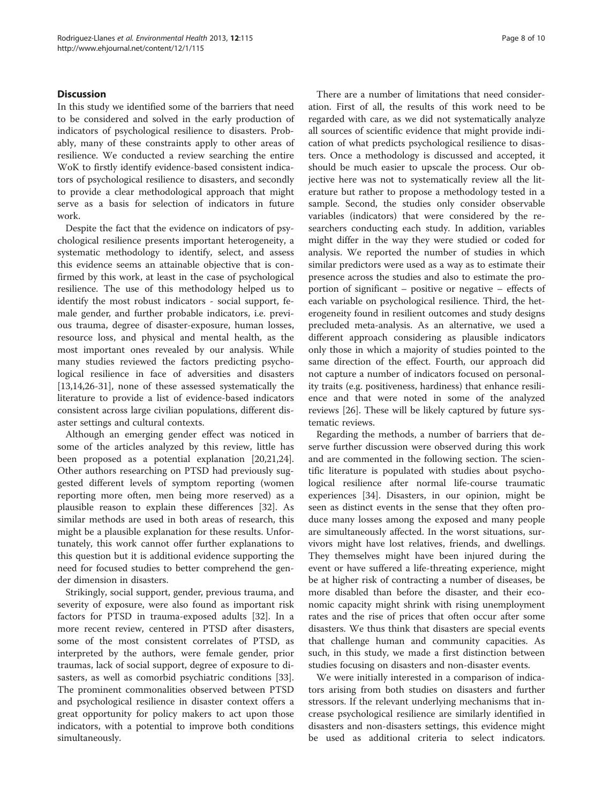# Discussion

In this study we identified some of the barriers that need to be considered and solved in the early production of indicators of psychological resilience to disasters. Probably, many of these constraints apply to other areas of resilience. We conducted a review searching the entire WoK to firstly identify evidence-based consistent indicators of psychological resilience to disasters, and secondly to provide a clear methodological approach that might serve as a basis for selection of indicators in future work.

Despite the fact that the evidence on indicators of psychological resilience presents important heterogeneity, a systematic methodology to identify, select, and assess this evidence seems an attainable objective that is confirmed by this work, at least in the case of psychological resilience. The use of this methodology helped us to identify the most robust indicators - social support, female gender, and further probable indicators, i.e. previous trauma, degree of disaster-exposure, human losses, resource loss, and physical and mental health, as the most important ones revealed by our analysis. While many studies reviewed the factors predicting psychological resilience in face of adversities and disasters [[13,14,26-31\]](#page-9-0), none of these assessed systematically the literature to provide a list of evidence-based indicators consistent across large civilian populations, different disaster settings and cultural contexts.

Although an emerging gender effect was noticed in some of the articles analyzed by this review, little has been proposed as a potential explanation [\[20,21,24](#page-9-0)]. Other authors researching on PTSD had previously suggested different levels of symptom reporting (women reporting more often, men being more reserved) as a plausible reason to explain these differences [[32\]](#page-9-0). As similar methods are used in both areas of research, this might be a plausible explanation for these results. Unfortunately, this work cannot offer further explanations to this question but it is additional evidence supporting the need for focused studies to better comprehend the gender dimension in disasters.

Strikingly, social support, gender, previous trauma, and severity of exposure, were also found as important risk factors for PTSD in trauma-exposed adults [\[32\]](#page-9-0). In a more recent review, centered in PTSD after disasters, some of the most consistent correlates of PTSD, as interpreted by the authors, were female gender, prior traumas, lack of social support, degree of exposure to disasters, as well as comorbid psychiatric conditions [\[33](#page-9-0)]. The prominent commonalities observed between PTSD and psychological resilience in disaster context offers a great opportunity for policy makers to act upon those indicators, with a potential to improve both conditions simultaneously.

There are a number of limitations that need consideration. First of all, the results of this work need to be regarded with care, as we did not systematically analyze all sources of scientific evidence that might provide indication of what predicts psychological resilience to disasters. Once a methodology is discussed and accepted, it should be much easier to upscale the process. Our objective here was not to systematically review all the literature but rather to propose a methodology tested in a sample. Second, the studies only consider observable variables (indicators) that were considered by the researchers conducting each study. In addition, variables might differ in the way they were studied or coded for analysis. We reported the number of studies in which similar predictors were used as a way as to estimate their presence across the studies and also to estimate the proportion of significant – positive or negative – effects of each variable on psychological resilience. Third, the heterogeneity found in resilient outcomes and study designs precluded meta-analysis. As an alternative, we used a different approach considering as plausible indicators only those in which a majority of studies pointed to the same direction of the effect. Fourth, our approach did not capture a number of indicators focused on personality traits (e.g. positiveness, hardiness) that enhance resilience and that were noted in some of the analyzed reviews [\[26](#page-9-0)]. These will be likely captured by future systematic reviews.

Regarding the methods, a number of barriers that deserve further discussion were observed during this work and are commented in the following section. The scientific literature is populated with studies about psychological resilience after normal life-course traumatic experiences [\[34\]](#page-9-0). Disasters, in our opinion, might be seen as distinct events in the sense that they often produce many losses among the exposed and many people are simultaneously affected. In the worst situations, survivors might have lost relatives, friends, and dwellings. They themselves might have been injured during the event or have suffered a life-threating experience, might be at higher risk of contracting a number of diseases, be more disabled than before the disaster, and their economic capacity might shrink with rising unemployment rates and the rise of prices that often occur after some disasters. We thus think that disasters are special events that challenge human and community capacities. As such, in this study, we made a first distinction between studies focusing on disasters and non-disaster events.

We were initially interested in a comparison of indicators arising from both studies on disasters and further stressors. If the relevant underlying mechanisms that increase psychological resilience are similarly identified in disasters and non-disasters settings, this evidence might be used as additional criteria to select indicators.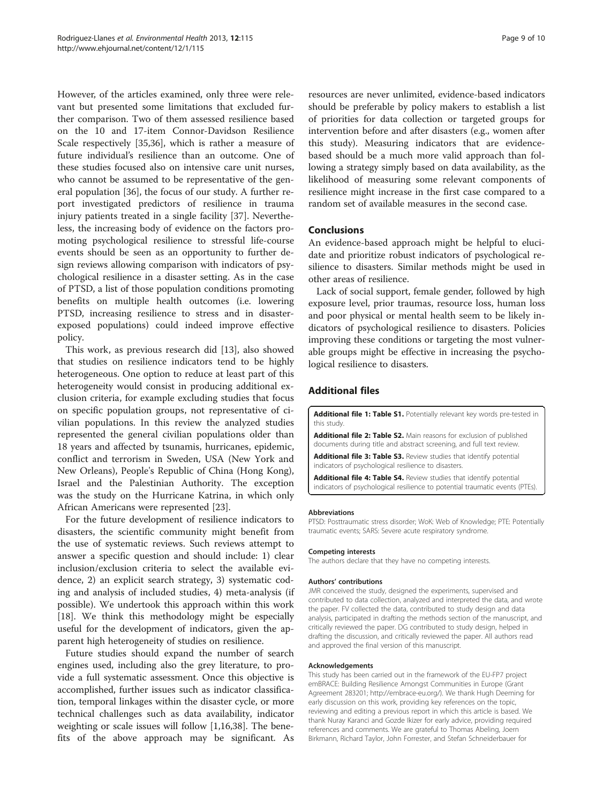<span id="page-8-0"></span>However, of the articles examined, only three were relevant but presented some limitations that excluded further comparison. Two of them assessed resilience based on the 10 and 17-item Connor-Davidson Resilience Scale respectively [[35](#page-9-0),[36](#page-9-0)], which is rather a measure of future individual's resilience than an outcome. One of these studies focused also on intensive care unit nurses, who cannot be assumed to be representative of the general population [[36\]](#page-9-0), the focus of our study. A further report investigated predictors of resilience in trauma injury patients treated in a single facility [[37\]](#page-9-0). Nevertheless, the increasing body of evidence on the factors promoting psychological resilience to stressful life-course events should be seen as an opportunity to further design reviews allowing comparison with indicators of psychological resilience in a disaster setting. As in the case of PTSD, a list of those population conditions promoting benefits on multiple health outcomes (i.e. lowering PTSD, increasing resilience to stress and in disasterexposed populations) could indeed improve effective policy.

This work, as previous research did [\[13](#page-9-0)], also showed that studies on resilience indicators tend to be highly heterogeneous. One option to reduce at least part of this heterogeneity would consist in producing additional exclusion criteria, for example excluding studies that focus on specific population groups, not representative of civilian populations. In this review the analyzed studies represented the general civilian populations older than 18 years and affected by tsunamis, hurricanes, epidemic, conflict and terrorism in Sweden, USA (New York and New Orleans), People's Republic of China (Hong Kong), Israel and the Palestinian Authority. The exception was the study on the Hurricane Katrina, in which only African Americans were represented [[23\]](#page-9-0).

For the future development of resilience indicators to disasters, the scientific community might benefit from the use of systematic reviews. Such reviews attempt to answer a specific question and should include: 1) clear inclusion/exclusion criteria to select the available evidence, 2) an explicit search strategy, 3) systematic coding and analysis of included studies, 4) meta-analysis (if possible). We undertook this approach within this work [[18\]](#page-9-0). We think this methodology might be especially useful for the development of indicators, given the apparent high heterogeneity of studies on resilience.

Future studies should expand the number of search engines used, including also the grey literature, to provide a full systematic assessment. Once this objective is accomplished, further issues such as indicator classification, temporal linkages within the disaster cycle, or more technical challenges such as data availability, indicator weighting or scale issues will follow [[1,16,38\]](#page-9-0). The benefits of the above approach may be significant. As

resources are never unlimited, evidence-based indicators should be preferable by policy makers to establish a list of priorities for data collection or targeted groups for intervention before and after disasters (e.g., women after this study). Measuring indicators that are evidencebased should be a much more valid approach than following a strategy simply based on data availability, as the likelihood of measuring some relevant components of resilience might increase in the first case compared to a random set of available measures in the second case.

# Conclusions

An evidence-based approach might be helpful to elucidate and prioritize robust indicators of psychological resilience to disasters. Similar methods might be used in other areas of resilience.

Lack of social support, female gender, followed by high exposure level, prior traumas, resource loss, human loss and poor physical or mental health seem to be likely indicators of psychological resilience to disasters. Policies improving these conditions or targeting the most vulnerable groups might be effective in increasing the psychological resilience to disasters.

# Additional files

[Additional file 1: Table S1.](http://www.biomedcentral.com/content/supplementary/1476-069X-12-115-S1.doc) Potentially relevant key words pre-tested in this study.

[Additional file 2: Table S2.](http://www.biomedcentral.com/content/supplementary/1476-069X-12-115-S2.doc) Main reasons for exclusion of published documents during title and abstract screening, and full text review.

[Additional file 3: Table S3.](http://www.biomedcentral.com/content/supplementary/1476-069X-12-115-S3.doc) Review studies that identify potential indicators of psychological resilience to disasters.

[Additional file 4: Table S4.](http://www.biomedcentral.com/content/supplementary/1476-069X-12-115-S4.doc) Review studies that identify potential indicators of psychological resilience to potential traumatic events (PTEs).

#### Abbreviations

PTSD: Posttraumatic stress disorder; WoK: Web of Knowledge; PTE: Potentially traumatic events; SARS: Severe acute respiratory syndrome.

#### Competing interests

The authors declare that they have no competing interests.

#### Authors' contributions

JMR conceived the study, designed the experiments, supervised and contributed to data collection, analyzed and interpreted the data, and wrote the paper. FV collected the data, contributed to study design and data analysis, participated in drafting the methods section of the manuscript, and critically reviewed the paper. DG contributed to study design, helped in drafting the discussion, and critically reviewed the paper. All authors read and approved the final version of this manuscript.

#### Acknowledgements

This study has been carried out in the framework of the EU-FP7 project emBRACE: Building Resilience Amongst Communities in Europe (Grant Agreement 283201; [http://embrace-eu.org/\)](http://embrace-eu.org/). We thank Hugh Deeming for early discussion on this work, providing key references on the topic, reviewing and editing a previous report in which this article is based. We thank Nuray Karanci and Gozde Ikizer for early advice, providing required references and comments. We are grateful to Thomas Abeling, Joern Birkmann, Richard Taylor, John Forrester, and Stefan Schneiderbauer for